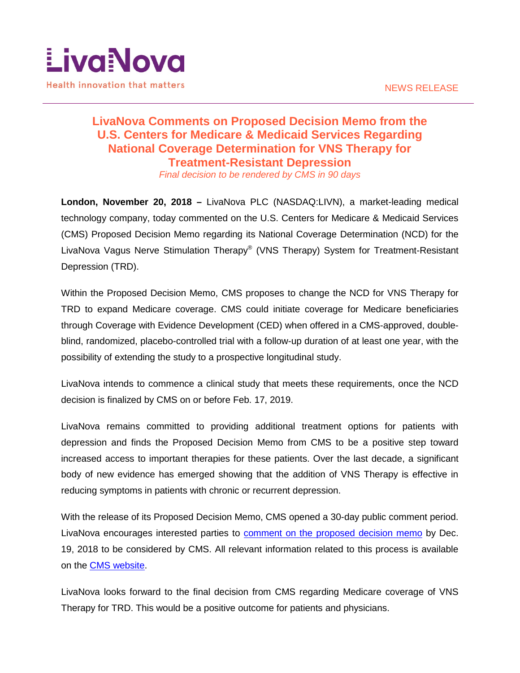

## **LivaNova Comments on Proposed Decision Memo from the U.S. Centers for Medicare & Medicaid Services Regarding National Coverage Determination for VNS Therapy for Treatment-Resistant Depression**

*Final decision to be rendered by CMS in 90 days*

**London, November 20, 2018 –** LivaNova PLC (NASDAQ:LIVN), a market-leading medical technology company, today commented on the U.S. Centers for Medicare & Medicaid Services (CMS) Proposed Decision Memo regarding its National Coverage Determination (NCD) for the LivaNova Vagus Nerve Stimulation Therapy<sup>®</sup> (VNS Therapy) System for Treatment-Resistant Depression (TRD).

Within the Proposed Decision Memo, CMS proposes to change the NCD for VNS Therapy for TRD to expand Medicare coverage. CMS could initiate coverage for Medicare beneficiaries through Coverage with Evidence Development (CED) when offered in a CMS-approved, doubleblind, randomized, placebo-controlled trial with a follow-up duration of at least one year, with the possibility of extending the study to a prospective longitudinal study.

LivaNova intends to commence a clinical study that meets these requirements, once the NCD decision is finalized by CMS on or before Feb. 17, 2019.

LivaNova remains committed to providing additional treatment options for patients with depression and finds the Proposed Decision Memo from CMS to be a positive step toward increased access to important therapies for these patients. Over the last decade, a significant body of new evidence has emerged showing that the addition of VNS Therapy is effective in reducing symptoms in patients with chronic or recurrent depression.

With the release of its Proposed Decision Memo, CMS opened a 30-day public comment period. LivaNova encourages interested parties to [comment on the proposed decision memo](https://www.cms.gov/medicare-coverage-database/details/nca-proposed-decision-memo.aspx?NCAId=292&bc=AAAAAAAAACAA&) by Dec. 19, 2018 to be considered by CMS. All relevant information related to this process is available on the [CMS website.](https://www.cms.gov/medicare-coverage-database/details/nca-details.aspx?NCAId=292&ExpandComments=n&bc=AIAAAAAAQAAA&)

LivaNova looks forward to the final decision from CMS regarding Medicare coverage of VNS Therapy for TRD. This would be a positive outcome for patients and physicians.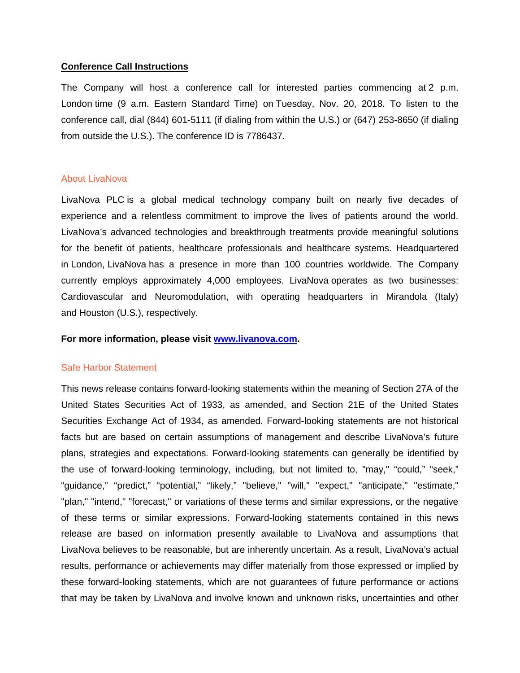## **Conference Call Instructions**

The Company will host a conference call for interested parties commencing at 2 p.m. London time (9 a.m. Eastern Standard Time) on Tuesday, Nov. 20, 2018. To listen to the conference call, dial (844) 601-5111 (if dialing from within the U.S.) or (647) 253-8650 (if dialing from outside the U.S.). The conference ID is 7786437.

## About LivaNova

LivaNova PLC is a global medical technology company built on nearly five decades of experience and a relentless commitment to improve the lives of patients around the world. LivaNova's advanced technologies and breakthrough treatments provide meaningful solutions for the benefit of patients, healthcare professionals and healthcare systems. Headquartered in London, LivaNova has a presence in more than 100 countries worldwide. The Company currently employs approximately 4,000 employees. LivaNova operates as two businesses: Cardiovascular and Neuromodulation, with operating headquarters in Mirandola (Italy) and Houston (U.S.), respectively.

**For more information, please visit [www.livanova.com.](http://www.livanova.com/)**

## Safe Harbor Statement

This news release contains forward-looking statements within the meaning of Section 27A of the United States Securities Act of 1933, as amended, and Section 21E of the United States Securities Exchange Act of 1934, as amended. Forward-looking statements are not historical facts but are based on certain assumptions of management and describe LivaNova's future plans, strategies and expectations. Forward-looking statements can generally be identified by the use of forward-looking terminology, including, but not limited to, "may," "could," "seek," "guidance," "predict," "potential," "likely," "believe," "will," "expect," "anticipate," "estimate," "plan," "intend," "forecast," or variations of these terms and similar expressions, or the negative of these terms or similar expressions. Forward-looking statements contained in this news release are based on information presently available to LivaNova and assumptions that LivaNova believes to be reasonable, but are inherently uncertain. As a result, LivaNova's actual results, performance or achievements may differ materially from those expressed or implied by these forward-looking statements, which are not guarantees of future performance or actions that may be taken by LivaNova and involve known and unknown risks, uncertainties and other